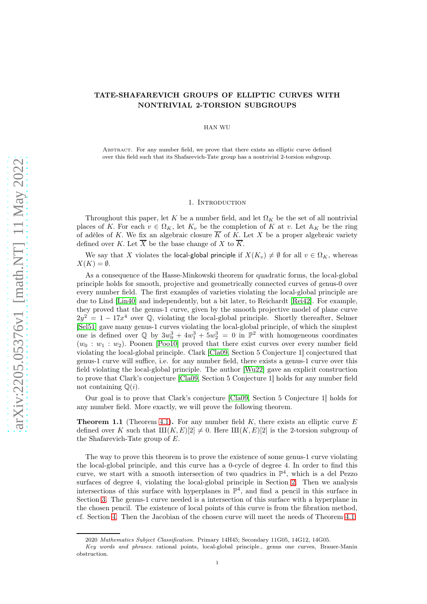# TATE-SHAFAREVICH GROUPS OF ELLIPTIC CURVES WITH NONTRIVIAL 2-TORSION SUBGROUPS

HAN WU

Abstract. For any number field, we prove that there exists an elliptic curve defined over this field such that its Shafarevich-Tate group has a nontrivial 2-torsion subgroup.

### 1. Introduction

<span id="page-0-0"></span>Throughout this paper, let K be a number field, and let  $\Omega_K$  be the set of all nontrivial places of K. For each  $v \in \Omega_K$ , let  $K_v$  be the completion of K at v. Let  $\mathbb{A}_K$  be the ring of adèles of K. We fix an algebraic closure  $\overline{K}$  of K. Let X be a proper algebraic variety defined over K. Let  $\overline{X}$  be the base change of X to  $\overline{K}$ .

We say that X violates the local-global principle if  $X(K_v) \neq \emptyset$  for all  $v \in \Omega_K$ , whereas  $X(K) = \emptyset$ .

As a consequence of the Hasse-Minkowski theorem for quadratic forms, the local-global principle holds for smooth, projective and geometrically connected curves of genus-0 over every number field. The first examples of varieties violating the local-global principle are due to Lind [\[Lin40\]](#page-6-0) and independently, but a bit later, to Reichardt [\[Rei42\]](#page-6-1). For example, they proved that the genus-1 curve, given by the smooth projective model of plane curve  $2y^2 = 1 - 17x^4$  over  $\mathbb{Q}$ , violating the local-global principle. Shortly thereafter, Selmer [\[Sel51\]](#page-6-2) gave many genus-1 curves violating the local-global principle, of which the simplest one is defined over  $\mathbb{Q}$  by  $3w_0^3 + 4w_1^3 + 5w_2^3 = 0$  in  $\mathbb{P}^2$  with homogeneous coordinates  $(w_0 : w_1 : w_2)$ . Poonen [\[Poo10\]](#page-6-3) proved that there exist curves over every number field violating the local-global principle. Clark [\[Cla09,](#page-5-0) Section 5 Conjecture 1] conjectured that genus-1 curve will suffice, i.e. for any number field, there exists a genus-1 curve over this field violating the local-global principle. The author [\[Wu22\]](#page-6-4) gave an explicit construction to prove that Clark's conjecture [\[Cla09,](#page-5-0) Section 5 Conjecture 1] holds for any number field not containing  $\mathbb{Q}(i)$ .

Our goal is to prove that Clark's conjecture [\[Cla09,](#page-5-0) Section 5 Conjecture 1] holds for any number field. More exactly, we will prove the following theorem.

**Theorem 1.1** (Theorem [4.1\)](#page-5-1). For any number field K, there exists an elliptic curve E defined over K such that  $\text{III}(K, E)[2] \neq 0$ . Here  $\text{III}(K, E)[2]$  is the 2-torsion subgroup of the Shafarevich-Tate group of  $E$ .

The way to prove this theorem is to prove the existence of some genus-1 curve violating the local-global principle, and this curve has a 0-cycle of degree 4. In order to find this curve, we start with a smooth intersection of two quadrics in  $\mathbb{P}^4$ , which is a del Pezzo surfaces of degree 4, violating the local-global principle in Section [2.](#page-1-0) Then we analysis intersections of this surface with hyperplanes in  $\mathbb{P}^4$ , and find a pencil in this surface in Section [3.](#page-2-0) The genus-1 curve needed is a intersection of this surface with a hyperplane in the chosen pencil. The existence of local points of this curve is from the fibration method, cf. Section [4.](#page-5-2) Then the Jacobian of the chosen curve will meet the needs of Theorem [4.1.](#page-5-1)

<sup>2020</sup> Mathematics Subject Classification. Primary 14H45; Secondary 11G05, 14G12, 14G05.

Key words and phrases. rational points, local-global principle., genus one curves, Brauer-Manin obstruction.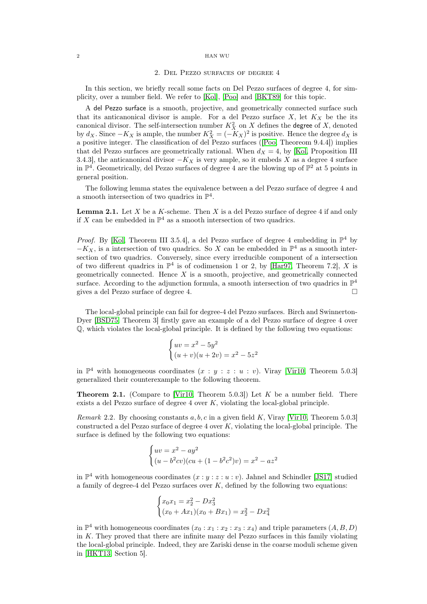#### <span id="page-1-0"></span>2 HAN WU

## 2. Del Pezzo surfaces of degree 4

In this section, we briefly recall some facts on Del Pezzo surfaces of degree 4, for simplicity, over a number field. We refer to [\[Kol\]](#page-6-5), [\[Poo\]](#page-6-6) and [\[BKT89\]](#page-5-3) for this topic.

A del Pezzo surface is a smooth, projective, and geometrically connected surface such that its anticanonical divisor is ample. For a del Pezzo surface  $X$ , let  $K_X$  be the its canonical divisor. The self-intersection number  $K_X^2$  on X defines the degree of X, denoted by  $d_X$ . Since  $-K_X$  is ample, the number  $K_X^2 = (-K_X)^2$  is positive. Hence the degree  $d_X$  is a positive integer. The classification of del Pezzo surfaces ([\[Poo,](#page-6-6) Theoreom 9.4.4]) implies that del Pezzo surfaces are geometrically rational. When  $d_X = 4$ , by [\[Kol,](#page-6-5) Proposition III 3.4.3], the anticanonical divisor  $-K_X$  is very ample, so it embeds X as a degree 4 surface in  $\mathbb{P}^4$ . Geometrically, del Pezzo surfaces of degree 4 are the blowing up of  $\mathbb{P}^2$  at 5 points in general position.

The following lemma states the equivalence between a del Pezzo surface of degree 4 and a smooth intersection of two quadrics in  $\mathbb{P}^4$ .

<span id="page-1-1"></span>**Lemma 2.1.** Let  $X$  be a  $K$ -scheme. Then  $X$  is a del Pezzo surface of degree 4 if and only if X can be embedded in  $\mathbb{P}^4$  as a smooth intersection of two quadrics.

*Proof.* By [\[Kol,](#page-6-5) Theorem III 3.5.4], a del Pezzo surface of degree 4 embedding in  $\mathbb{P}^4$  by  $-K_X$ , is a intersection of two quadrics. So X can be embedded in  $\mathbb{P}^4$  as a smooth intersection of two quadrics. Conversely, since every irreducible component of a intersection of two different quadrics in  $\mathbb{P}^4$  is of codimension 1 or 2, by [\[Har97,](#page-6-7) Theorem 7.2], X is geometrically connected. Hence  $X$  is a smooth, projective, and geometrically connected surface. According to the adjunction formula, a smooth intersection of two quadrics in  $\mathbb{P}^4$ gives a del Pezzo surface of degree 4.

The local-global principle can fail for degree-4 del Pezzo surfaces. Birch and Swinnerton-Dyer [\[BSD75,](#page-5-4) Theorem 3] firstly gave an example of a del Pezzo surface of degree 4 over Q, which violates the local-global principle. It is defined by the following two equations:

$$
\begin{cases} uv = x^2 - 5y^2 \\ (u+v)(u+2v) = x^2 - 5z^2 \end{cases}
$$

in  $\mathbb{P}^4$  with homogeneous coordinates  $(x : y : z : u : v)$ . Viray [\[Vir10,](#page-6-8) Theorem 5.0.3] generalized their counterexample to the following theorem.

<span id="page-1-2"></span>**Theorem 2.1.** (Compare to [\[Vir10,](#page-6-8) Theorem 5.0.3]) Let  $K$  be a number field. There exists a del Pezzo surface of degree 4 over K, violating the local-global principle.

<span id="page-1-3"></span>*Remark* 2.2. By choosing constants  $a, b, c$  in a given field K, Viray [\[Vir10,](#page-6-8) Theorem 5.0.3] constructed a del Pezzo surface of degree  $4$  over  $K$ , violating the local-global principle. The surface is defined by the following two equations:

$$
\begin{cases} uv = x^2 - ay^2 \\ (u - b^2cv)(cu + (1 - b^2c^2)v) = x^2 - az^2 \end{cases}
$$

in  $\mathbb{P}^4$  with homogeneous coordinates  $(x:y:z:u:v)$ . Jahnel and Schindler [\[JS17\]](#page-6-9) studied a family of degree-4 del Pezzo surfaces over  $K$ , defined by the following two equations:

$$
\begin{cases} x_0x_1 = x_2^2 - Dx_3^2 \\ (x_0 + Ax_1)(x_0 + Bx_1) = x_2^2 - Dx_4^2 \end{cases}
$$

in  $\mathbb{P}^4$  with homogeneous coordinates  $(x_0 : x_1 : x_2 : x_3 : x_4)$  and triple parameters  $(A, B, D)$ in  $K$ . They proved that there are infinite many del Pezzo surfaces in this family violating the local-global principle. Indeed, they are Zariski dense in the coarse moduli scheme given in [\[HKT13,](#page-6-10) Section 5].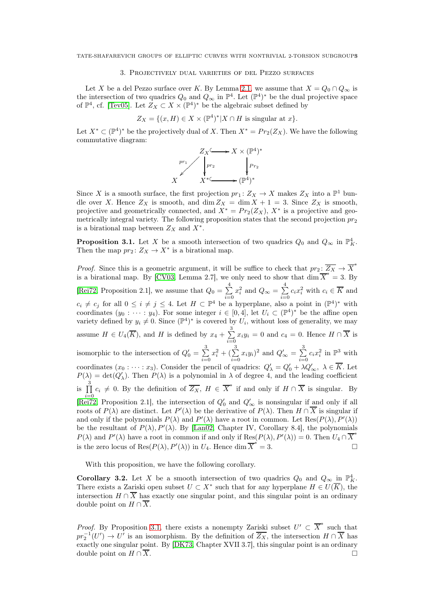## 3. Projectively dual varieties of del Pezzo surfaces

<span id="page-2-0"></span>Let X be a del Pezzo surface over K. By Lemma [2.1,](#page-1-1) we assume that  $X = Q_0 \cap Q_\infty$  is the intersection of two quadrics  $Q_0$  and  $Q_{\infty}$  in  $\mathbb{P}^4$ . Let  $(\mathbb{P}^4)^*$  be the dual projective space of  $\mathbb{P}^4$ , cf. [\[Tev05\]](#page-6-11). Let  $Z_X \subset X \times (\mathbb{P}^4)^*$  be the algebraic subset defined by

$$
Z_X=\{(x,H)\in X\times ({\mathbb P}^4)^*|X\cap H\text{ is singular at }x\}.
$$

Let  $X^* \subset (\mathbb{P}^4)^*$  be the projectively dual of X. Then  $X^* = Pr_2(Z_X)$ . We have the following commutative diagram:



Since X is a smooth surface, the first projection  $pr_1: Z_X \to X$  makes  $Z_X$  into a  $\mathbb{P}^1$  bundle over X. Hence  $Z_X$  is smooth, and  $\dim Z_X = \dim X + 1 = 3$ . Since  $Z_X$  is smooth, projective and geometrically connected, and  $X^* = Pr_2(Z_X)$ ,  $X^*$  is a projective and geometrically integral variety. The following proposition states that the second projection  $pr_2$ is a birational map between  $Z_X$  and  $X^*$ .

<span id="page-2-1"></span>**Proposition 3.1.** Let X be a smooth intersection of two quadrics  $Q_0$  and  $Q_{\infty}$  in  $\mathbb{P}_K^4$ . Then the map  $pr_2: Z_X \to X^*$  is a birational map.

*Proof.* Since this is a geometric argument, it will be suffice to check that  $pr_2: \overline{Z_X} \to \overline{X}^*$ is a birational map. By [\[CV03,](#page-6-12) Lemma 2.7], we only need to show that  $\dim \overline{X}^* = 3$ . By [\[Rei72,](#page-6-13) Proposition 2.1], we assume that  $Q_0 = \sum$ 4  $\sum_{i=0}$  $x_i^2$  and  $Q_{\infty} = \sum$ 4  $\sum_{i=0}^{1} c_i x_i^2$  with  $c_i \in \overline{K}$  and  $c_i \neq c_j$  for all  $0 \leq i \neq j \leq 4$ . Let  $H \subset \mathbb{P}^4$  be a hyperplane, also a point in  $(\mathbb{P}^4)^*$  with coordinates  $(y_0 : \cdots : y_4)$ . For some integer  $i \in [0, 4]$ , let  $U_i \subset (\mathbb{P}^4)^*$  be the affine open variety defined by  $y_i \neq 0$ . Since  $(\mathbb{P}^4)^*$  is covered by  $U_i$ , without loss of generality, we may assume  $H \in U_4(\overline{K})$ , and H is defined by  $x_4 + \sum$ 3  $\sum_{i=0} x_i y_i = 0$  and  $c_4 = 0$ . Hence  $H \cap X$  is isomorphic to the intersection of  $Q'_0 = \sum$ 3  $\sum_{i=0}$  $x_i^2 + (\sum_1^2$ 3  $\sum_{i=0}^{\infty} x_i y_i$ <sup>2</sup> and  $Q'_{\infty} = \sum_{i=0}^{\infty}$ 3  $\sum_{i=0}^{\infty} c_i x_i^2$  in  $\mathbb{P}^3$  with coordinates  $(x_0 : \cdots : x_3)$ . Consider the pencil of quadrics:  $Q'_{\lambda} = Q'_0 + \lambda Q'_{\infty}, \lambda \in \overline{K}$ . Let  $P(\lambda) = \det(Q'_\lambda)$ . Then  $P(\lambda)$  is a polynomial in  $\lambda$  of degree 4, and the leading coefficient is  $\prod$ 3  $\prod_{i=0}^{3} c_i \neq 0$ . By the definition of  $\overline{Z_X}$ ,  $H \in \overline{X}^*$  if and only if  $H \cap \overline{X}$  is singular. By [\[Rei72,](#page-6-13) Proposition 2.1], the intersection of  $Q'_0$  and  $Q'_{\infty}$  is nonsingular if and only if all roots of  $P(\lambda)$  are distinct. Let  $P'(\lambda)$  be the derivative of  $P(\lambda)$ . Then  $H \cap \overline{X}$  is singular if and only if the polynomials  $P(\lambda)$  and  $P'(\lambda)$  have a root in common. Let  $\text{Res}(P(\lambda), P'(\lambda))$ be the resultant of  $P(\lambda), P'(\lambda)$ . By [\[Lan02,](#page-6-14) Chapter IV, Corollary 8.4], the polynomials  $P(\lambda)$  and  $P'(\lambda)$  have a root in common if and only if  $\text{Res}(P(\lambda), P'(\lambda)) = 0$ . Then  $U_4 \cap \overline{X}^*$ is the zero locus of Res $(P(\lambda), P'(\lambda))$  in  $U_4$ . Hence dim  $\overline{X}^* = 3$ .

With this proposition, we have the following corollary.

<span id="page-2-2"></span>**Corollary 3.2.** Let X be a smooth intersection of two quadrics  $Q_0$  and  $Q_\infty$  in  $\mathbb{P}_K^4$ . There exists a Zariski open subset  $U \subset X^*$  such that for any hyperplane  $H \in U(\overline{K})$ , the intersection  $H \cap \overline{X}$  has exactly one singular point, and this singular point is an ordinary double point on  $H \cap \overline{X}$ .

*Proof.* By Proposition [3.1,](#page-2-1) there exists a nonempty Zariski subset  $U' \subset \overline{X}^*$  such that  $pr_2^{-1}(U') \to U'$  is an isomorphism. By the definition of  $\overline{Z_X}$ , the intersection  $H \cap \overline{X}$  has exactly one singular point. By [\[DK73,](#page-6-15) Chapter XVII 3.7], this singular point is an ordinary double point on  $H \cap \overline{X}$ .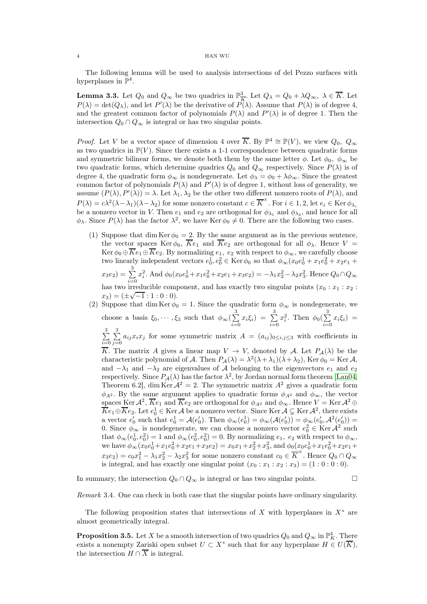#### 4 HAN WU

The following lemma will be used to analysis intersections of del Pezzo surfaces with hyperplanes in  $\mathbb{P}^4$ .

<span id="page-3-0"></span>**Lemma 3.3.** Let  $Q_0$  and  $Q_{\infty}$  be two quadrics in  $\mathbb{P}^3_{\overline{k}}$  $\frac{3}{K}$ . Let  $Q_{\lambda} = Q_0 + \lambda Q_{\infty}, \lambda \in K$ . Let  $P(\lambda) = \det(Q_{\lambda}),$  and let  $P'(\lambda)$  be the derivative of  $\overline{P(\lambda)}$ . Assume that  $P(\lambda)$  is of degree 4, and the greatest common factor of polynomials  $P(\lambda)$  and  $P'(\lambda)$  is of degree 1. Then the intersection  $Q_0 \cap Q_\infty$  is integral or has two singular points.

*Proof.* Let V be a vector space of dimension 4 over  $\overline{K}$ . By  $\mathbb{P}^4 \cong \mathbb{P}(V)$ , we view  $Q_0$ ,  $Q_{\infty}$ as two quadrics in  $\mathbb{P}(V)$ . Since there exists a 1-1 correspondence between quadratic forms and symmetric bilinear forms, we denote both them by the same letter  $\phi$ . Let  $\phi_0$ ,  $\phi_\infty$  be two quadratic forms, which determine quadrics  $Q_0$  and  $Q_\infty$  respectively. Since  $P(\lambda)$  is of degree 4, the quadratic form  $\phi_{\infty}$  is nondegenerate. Let  $\phi_{\lambda} = \phi_0 + \lambda \phi_{\infty}$ . Since the greatest common factor of polynomials  $P(\lambda)$  and  $P'(\lambda)$  is of degree 1, without loss of generality, we assume  $(P(\lambda), P'(\lambda)) = \lambda$ . Let  $\lambda_1, \lambda_2$  be the other two different nonzero roots of  $P(\lambda)$ , and  $P(\lambda) = c\lambda^2(\lambda - \lambda_1)(\lambda - \lambda_2)$  for some nonzero constant  $c \in \overline{K}^{\times}$ . For  $i \in 1, 2$ , let  $e_i \in \text{Ker } \phi_{\lambda_i}$ be a nonzero vector in V. Then  $e_1$  and  $e_2$  are orthogonal for  $\phi_{\lambda_1}$  and  $\phi_{\lambda_2}$ , and hence for all  $\phi_{\lambda}$ . Since  $P(\lambda)$  has the factor  $\lambda^2$ , we have Ker  $\phi_0 \neq 0$ . There are the following two cases.

(1) Suppose that dim Ker  $\phi_0 = 2$ . By the same argument as in the previous sentence, the vector spaces Ker  $\phi_0$ ,  $\overline{K}e_1$  and  $\overline{K}e_2$  are orthogonal for all  $\phi_\lambda$ . Hence  $V =$ Ker  $\phi_0 \oplus Ke_1 \oplus Ke_2$ . By normalizing  $e_1, e_2$  with respect to  $\phi_{\infty}$ , we carefully choose two linearly independent vectors  $e_0^1, e_0^2 \in \text{Ker}\,\phi_0$  so that  $\phi_\infty(x_0e_0^1 + x_1e_0^2 + x_2e_1 +$  $(x_3e_2) = \sum$ 3  $\sum_{i=0}$  $x_i^2$ . And  $\phi_0(x_0e_0^1 + x_1e_0^2 + x_2e_1 + x_3e_2) = -\lambda_1x_2^2 - \lambda_2x_3^2$ . Hence  $Q_0 \cap Q_\infty$ 

has two irreducible component, and has exactly two singular points  $(x_0 : x_1 : x_2 :$  $(x_3) = (\pm \sqrt{-1} : 1 : 0 : 0).$ 

<span id="page-3-2"></span>(2) Suppose that dim Ker  $\phi_0 = 1$ . Since the quadratic form  $\phi_{\infty}$  is nondegenerate, we choose a basis  $\xi_0, \dots, \xi_3$  such that  $\phi_\infty(\sum_i$ 3  $\sum_{i=0} x_i \xi_i$  =  $\sum_{i=0}$ 3  $\sum_{i=0}$  $x_i^2$ . Then  $\phi_0(\sum_{i=1}^n$ 3  $\sum_{i=0} x_i \xi_i$  =  $\sum$ 3  $\sum_{i=0}$  $\sum$ 3  $\sum_{j=0} a_{ij} x_i x_j$  for some symmetric matrix  $A = (a_{ij})_{0 \le i,j \le 3}$  with coefficients in  $\overline{K}$ . The matrix A gives a linear map  $V \to V$ , denoted by A. Let  $P_{\mathcal{A}}(\lambda)$  be the characteristic polynomial of A. Then  $P_{\mathcal{A}}(\lambda) = \lambda^2(\lambda + \lambda_1)(\lambda + \lambda_2)$ , Ker  $\phi_0 = \text{Ker } \mathcal{A}$ , and  $-\lambda_1$  and  $-\lambda_2$  are eigenvalues of A belonging to the eigenvectors  $e_1$  and  $e_2$ respectively. Since  $P_{\mathcal{A}}(\lambda)$  has the factor  $\lambda^2$ , by Jordan normal form theorem [\[Lan04,](#page-6-16) Theorem 6.2], dim Ker  $A^2 = 2$ . The symmetric matrix  $A^2$  gives a quadratic form  $\phi_{A^2}$ . By the same argument applies to quadratic forms  $\phi_{A^2}$  and  $\phi_{\infty}$ , the vector spaces Ker  $\mathcal{A}^2$ ,  $\overline{K}e_1$  and  $\overline{K}e_2$  are orthogonal for  $\phi_{\mathcal{A}^2}$  and  $\phi_{\infty}$ . Hence  $V = \text{Ker } \mathcal{A}^2 \oplus$  $\overline{K}e_1 \oplus \overline{K}e_2$ . Let  $e_0^1 \in \text{Ker } \mathcal{A}$  be a nonzero vector. Since  $\text{Ker } \mathcal{A} \subsetneq \text{Ker } \mathcal{A}^2$ , there exists a vector  $e'_0$  such that  $e_0^1 = \mathcal{A}(e'_0)$ . Then  $\phi_\infty(e_0^1) = \phi_\infty(\mathcal{A}(e'_0)) = \phi_\infty(e'_0, \mathcal{A}^2(e'_0)) =$ 0. Since  $\phi_{\infty}$  is nondegenerate, we can choose a nonzero vector  $e_0^2 \in \text{Ker } \mathcal{A}^2$  such that  $\phi_{\infty}(e_0^1, e_0^2) = 1$  and  $\phi_{\infty}(e_0^2, e_0^2) = 0$ . By normalizing  $e_1, e_2$  with respect to  $\phi_{\infty}$ , we have  $\phi_{\infty}(x_0e_0^1+x_1e_0^2+x_2e_1+x_3e_2)=x_0x_1+x_2^2+x_3^2$ , and  $\phi_0(x_0e_0^1+x_1e_0^2+x_2e_1+x_3e_2)$  $x_3e_2$ ) =  $c_0x_1^2 - \lambda_1x_2^2 - \lambda_2x_3^2$  for some nonzero constant  $c_0 \in \overline{K}^{\times}$ . Hence  $Q_0 \cap Q_{\infty}$ is integral, and has exactly one singular point  $(x_0 : x_1 : x_2 : x_3) = (1 : 0 : 0 : 0)$ .

In summary, the intersection  $Q_0 \cap Q_\infty$  is integral or has two singular points.

Remark 3.4. One can check in both case that the singular points have ordinary singularity.

The following proposition states that intersections of X with hyperplanes in  $X^*$  are almost geometrically integral.

<span id="page-3-1"></span>**Proposition 3.5.** Let X be a smooth intersection of two quadrics  $Q_0$  and  $Q_\infty$  in  $\mathbb{P}^4_K$ . There exists a nonempty Zariski open subset  $U \subset X^*$  such that for any hyperplane  $H \in U(\overline{K}),$ the intersection  $H \cap \overline{X}$  is integral.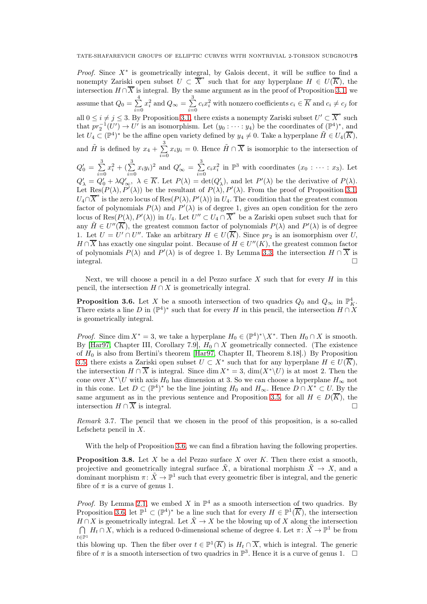*Proof.* Since  $X^*$  is geometrically integral, by Galois decent, it will be suffice to find a nonempty Zariski open subset  $\tilde{U} \subset \overline{X}^*$  such that for any hyperplane  $H \in U(\overline{K})$ , the intersection  $H \cap \overline{X}$  is integral. By the same argument as in the proof of Proposition [3.1,](#page-2-1) we assume that  $Q_0 = \sum$ 4  $\sum_{i=0}$  $x_i^2$  and  $Q_{\infty} = \sum_{i=1}^{n}$ 3  $\sum_{i=0}^{\infty} c_i x_i^2$  with nonzero coefficients  $c_i \in \overline{K}$  and  $c_i \neq c_j$  for all  $0 \le i \ne j \le 3$ . By Proposition [3.1,](#page-2-1) there exists a nonempty Zariski subset  $U' \subset \overline{X}^*$  such that  $pr_2^{-1}(U') \to U'$  is an isomorphism. Let  $(y_0 : \cdots : y_4)$  be the coordinates of  $(\mathbb{P}^4)^*$ , and let  $U_4 \subset (\mathbb{P}^4)^*$  be the affine open variety defined by  $y_4 \neq 0$ . Take a hyperplane  $\tilde{H} \in U_4(\overline{K}),$ and  $\tilde{H}$  is defined by  $x_4 + \sum_{ }^{\infty}$ 3  $\sum_{i=0}^{n} x_i y_i = 0$ . Hence  $\tilde{H} \cap \overline{X}$  is isomorphic to the intersection of  $Q_0' = \sum$ 3  $\sum_{i=0}$  $x_i^2 + (\sum_1^3$ 3  $\sum_{i=0}^{5} x_i y_i$ <sup>2</sup> and  $Q'_{\infty} = \sum_{i=0}^{5}$ 3  $\sum_{i=0}^{5} c_i x_i^2$  in  $\mathbb{P}^3$  with coordinates  $(x_0 : \cdots : x_3)$ . Let  $Q'_{\lambda} = Q'_{0} + \lambda Q'_{\infty}, \ \lambda \in \overline{K}$ . Let  $P(\lambda) = \det(Q'_{\lambda})$ , and let  $P'(\lambda)$  be the derivative of  $P(\lambda)$ . Let Res $(P(\lambda), P'(\lambda))$  be the resultant of  $P(\lambda), P'(\lambda)$ . From the proof of Proposition [3.1,](#page-2-1)  $U_4 \cap \overline{X}^*$  is the zero locus of Res $(P(\lambda), P'(\lambda))$  in  $U_4$ . The condition that the greatest common factor of polynomials  $P(\lambda)$  and  $P'(\lambda)$  is of degree 1, gives an open condition for the zero locus of  $\text{Res}(P(\lambda), P'(\lambda))$  in  $U_4$ . Let  $U'' \subset U_4 \cap \overline{X}^*$  be a Zariski open subset such that for any  $\tilde{H} \in U''(\overline{K})$ , the greatest common factor of polynomials  $P(\lambda)$  and  $P'(\lambda)$  is of degree 1. Let  $U = U' \cap U''$ . Take an arbitrary  $H \in U(\overline{K})$ . Since  $pr_2$  is an isomorphism over U,  $H \cap \overline{X}$  has exactly one singular point. Because of  $H \in U''(K)$ , the greatest common factor of polynomials  $P(\lambda)$  and  $P'(\lambda)$  is of degree 1. By Lemma [3.3,](#page-3-0) the intersection  $H \cap \overline{X}$  is integral.

Next, we will choose a pencil in a del Pezzo surface  $X$  such that for every  $H$  in this pencil, the intersection  $H \cap X$  is geometrically integral.

<span id="page-4-0"></span>**Proposition 3.6.** Let X be a smooth intersection of two quadrics  $Q_0$  and  $Q_{\infty}$  in  $\mathbb{P}_K^4$ . There exists a line D in  $(\mathbb{P}^4)^*$  such that for every H in this pencil, the intersection  $H \cap X$ is geometrically integral.

*Proof.* Since dim  $X^* = 3$ , we take a hyperplane  $H_0 \in (\mathbb{P}^4)^* \setminus X^*$ . Then  $H_0 \cap X$  is smooth. By [\[Har97,](#page-6-7) Chapter III, Corollary 7.9],  $H_0 \cap X$  geometrically connected. (The existence of  $H_0$  is also from Bertini's theorem [\[Har97,](#page-6-7) Chapter II, Theorem 8.18].) By Proposition [3.5,](#page-3-1) there exists a Zariski open subset  $U \subset X^*$  such that for any hyperplane  $H \in U(\overline{K})$ , the intersection  $H \cap \overline{X}$  is integral. Since dim  $X^* = 3$ , dim $(X^*\backslash U)$  is at most 2. Then the cone over  $X^*\backslash U$  with axis  $H_0$  has dimension at 3. So we can choose a hyperplane  $H_{\infty}$  not in this cone. Let  $D \subset (\mathbb{P}^4)^*$  be the line jointing  $H_0$  and  $H_{\infty}$ . Hence  $D \cap X^* \subset U$ . By the same argument as in the previous sentence and Proposition [3.5,](#page-3-1) for all  $H \in D(\overline{K})$ , the intersection  $H \cap \overline{X}$  is integral intersection  $H \cap \overline{X}$  is integral.

Remark 3.7. The pencil that we chosen in the proof of this proposition, is a so-called Lefschetz pencil in  $X$ .

With the help of Proposition [3.6,](#page-4-0) we can find a fibration having the following properties.

<span id="page-4-1"></span>**Proposition 3.8.** Let X be a del Pezzo surface X over K. Then there exist a smooth, projective and geometrically integral surface  $\tilde{X}$ , a birational morphism  $\tilde{X} \to X$ , and a dominant morphism  $\pi: \tilde{X} \to \mathbb{P}^1$  such that every geometric fiber is integral, and the generic fibre of  $\pi$  is a curve of genus 1.

*Proof.* By Lemma [2.1,](#page-1-1) we embed X in  $\mathbb{P}^4$  as a smooth intersection of two quadrics. By Proposition [3.6,](#page-4-0) let  $\mathbb{P}^1 \subset (\mathbb{P}^4)^*$  be a line such that for every  $H \in \mathbb{P}^1(\overline{K})$ , the intersection  $H \cap X$  is geometrically integral. Let  $\tilde{X} \to X$  be the blowing up of X along the intersection  $\bigcap_{\alpha} H_t \cap X$ , which is a reduced 0-dimensional scheme of degree 4. Let  $\pi: \tilde{X} \to \mathbb{P}^1$  be from  $t\in\mathbb{P}^1$ 

this blowing up. Then the fiber over  $t \in \mathbb{P}^1(\overline{K})$  is  $H_t \cap \overline{X}$ , which is integral. The generic fibre of  $\pi$  is a smooth intersection of two quadrics in  $\mathbb{P}^3$ . Hence it is a curve of genus 1.  $\Box$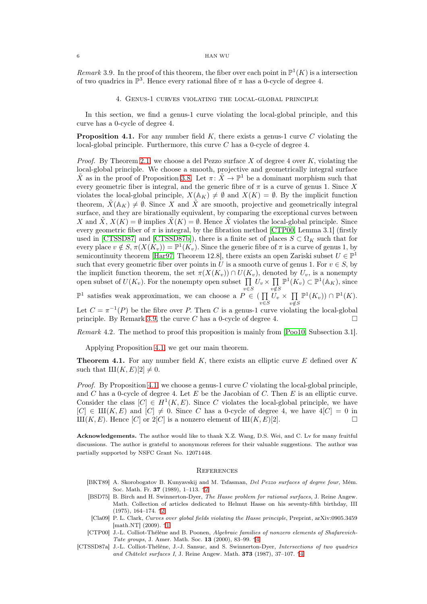#### 6 HAN WU

<span id="page-5-7"></span><span id="page-5-2"></span>Remark 3.9. In the proof of this theorem, the fiber over each point in  $\mathbb{P}^1(K)$  is a intersection of two quadrics in  $\mathbb{P}^3$ . Hence every rational fibre of  $\pi$  has a 0-cycle of degree 4.

## 4. Genus-1 curves violating the local-global principle

In this section, we find a genus-1 curve violating the local-global principle, and this curve has a 0-cycle of degree 4.

<span id="page-5-8"></span>**Proposition 4.1.** For any number field  $K$ , there exists a genus-1 curve  $C$  violating the local-global principle. Furthermore, this curve  $C$  has a 0-cycle of degree 4.

*Proof.* By Theorem [2.1,](#page-1-2) we choose a del Pezzo surface X of degree 4 over K, violating the local-global principle. We choose a smooth, projective and geometrically integral surface  $\tilde{X}$  as in the proof of Proposition [3.8.](#page-4-1) Let  $\pi: \tilde{X} \to \mathbb{P}^1$  be a dominant morphism such that every geometric fiber is integral, and the generic fibre of  $\pi$  is a curve of genus 1. Since X violates the local-global principle,  $X(\mathbb{A}_K) \neq \emptyset$  and  $X(K) = \emptyset$ . By the implicit function theorem,  $\tilde{X}(\mathbb{A}_K) \neq \emptyset$ . Since X and  $\tilde{X}$  are smooth, projective and geometrically integral surface, and they are birationally equivalent, by comparing the exceptional curves between X and  $\tilde{X}, X(K) = \emptyset$  implies  $\tilde{X}(K) = \emptyset$ . Hence  $\tilde{X}$  violates the local-global principle. Since every geometric fiber of  $\pi$  is integral, by the fibration method [\[CTP00,](#page-5-5) Lemma 3.1] (firstly used in [\[CTSSD87\]](#page-5-6) and [\[CTSSD87b\]](#page-6-17)), there is a finite set of places  $S \subset \Omega_K$  such that for every place  $v \notin S$ ,  $\pi(X(K_v)) = \mathbb{P}^1(K_v)$ . Since the generic fibre of  $\pi$  is a curve of genus 1, by semicontinuity theorem [\[Har97,](#page-6-7) Theorem 12.8], there exists an open Zariski subset  $U \in \mathbb{P}^1$ such that every geometric fiber over points in U is a smooth curve of genus 1. For  $v \in S$ , by the implicit function theorem, the set  $\pi(X(K_v)) \cap U(K_v)$ , denoted by  $U_v$ , is a nonempty open subset of  $U(K_v)$ . For the nonempty open subset  $\prod_{v \in S} U_v \times \prod_{v \notin S}$  $v {\notin} S$  $\mathbb{P}^1(K_v) \subset \mathbb{P}^1(\mathbb{A}_K)$ , since

 $\mathbb{P}^1$  satisfies weak approximation, we can choose a  $P \in \Pi$  $\prod\limits_{v\in S}U_v\times\prod\limits_{v\notin S}$  $v {\notin} S$  $\mathbb{P}^1(K_v)) \cap \mathbb{P}^1(K).$ 

Let  $C = \pi^{-1}(P)$  be the fibre over P. Then C is a genus-1 curve violating the local-global principle. By Remark [3.9,](#page-5-7) the curve C has a 0-cycle of degree 4.

<span id="page-5-9"></span>Remark 4.2. The method to proof this proposition is mainly from [\[Poo10,](#page-6-3) Subsection 3.1].

Applying Proposition [4.1,](#page-5-8) we get our main theorem.

<span id="page-5-1"></span>**Theorem 4.1.** For any number field  $K$ , there exists an elliptic curve  $E$  defined over  $K$ such that  $III(K, E)[2] \neq 0$ .

*Proof.* By Proposition [4.1,](#page-5-8) we choose a genus-1 curve C violating the local-global principle, and C has a 0-cycle of degree 4. Let  $E$  be the Jacobian of C. Then  $E$  is an elliptic curve. Consider the class  $[C] \in H^1(K, E)$ . Since C violates the local-global principle, we have  $[C] \in \text{III}(K, E)$  and  $[C] \neq 0$ . Since C has a 0-cycle of degree 4, we have  $4[C] = 0$  in  $\text{III}(K, E)$ . Hence  $[C]$  or  $2[C]$  is a nonzero element of  $\text{III}(K, E)[2]$ .  $\text{III}(K, E)$ . Hence  $[C]$  or  $2[C]$  is a nonzero element of  $\text{III}(K, E)[2]$ .

Acknowledgements. The author would like to thank X.Z. Wang, D.S. Wei, and C. Lv for many fruitful discussions. The author is grateful to anonymous referees for their valuable suggestions. The author was partially supported by NSFC Grant No. 12071448.

#### **REFERENCES**

- <span id="page-5-3"></span>[BKT89] A. Skorobogatov B. Kunyavskij and M. Tsfasman, Del Pezzo surfaces of degree four, Mém. Soc. Math. Fr. 37 (1989), 1–113. ↑[2](#page-1-0)
- <span id="page-5-4"></span>[BSD75] B. Birch and H. Swinnerton-Dyer, The Hasse problem for rational surfaces, J. Reine Angew. Math. Collection of articles dedicated to Helmut Hasse on his seventy-fifth birthday, III (1975), 164–174. ↑[2](#page-1-1)
- <span id="page-5-0"></span>[Cla09] P. L. Clark, Curves over global fields violating the Hasse principle, Preprint, arXiv:0905.3459 [math.NT] (2009). ↑[1](#page-0-0)
- <span id="page-5-5"></span>[CTP00] J.-L. Colliot-Thélène and B. Poonen, Algebraic families of nonzero elements of Shafarevich-Tate groups, J. Amer. Math. Soc. 13 (2000), 83–99. ↑[4](#page-5-8)
- <span id="page-5-6"></span>[CTSSD87a] J.-L. Colliot-Thélène, J.-J. Sansuc, and S. Swinnerton-Dyer, Intersections of two quadrics and Châtelet surfaces I, J. Reine Angew. Math. 373 (1987), 37–107. ↑[4](#page-5-8)